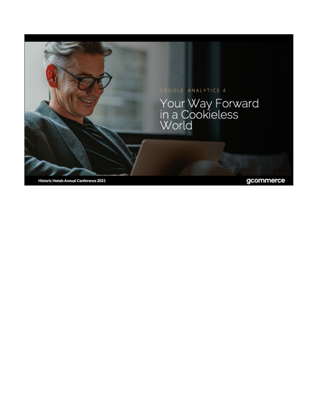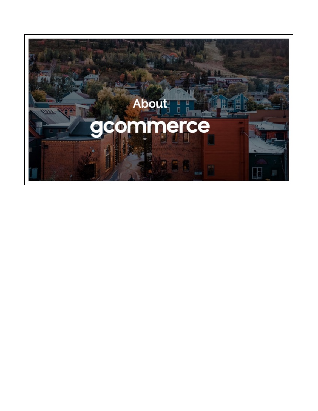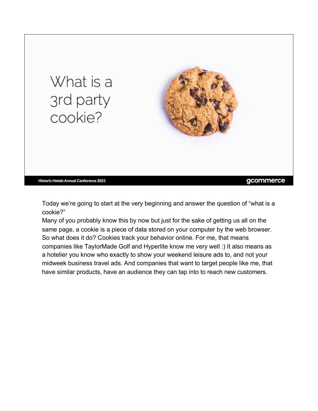

Today we're going to start at the very beginning and answer the question of "what is a cookie?"

Many of you probably know this by now but just for the sake of getting us all on the same page, a cookie is a piece of data stored on your computer by the web browser. So what does it do? Cookies track your behavior online. For me, that means companies like TaylorMade Golf and Hyperlite know me very well :) It also means as a hotelier you know who exactly to show your weekend leisure ads to, and not your midweek business travel ads. And companies that want to target people like me, that have similar products, have an audience they can tap into to reach new customers.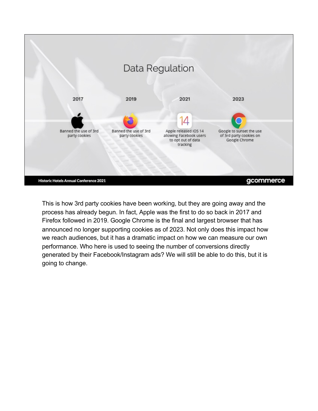

This is how 3rd party cookies have been working, but they are going away and the process has already begun. In fact, Apple was the first to do so back in 2017 and Firefox followed in 2019. Google Chrome is the final and largest browser that has announced no longer supporting cookies as of 2023. Not only does this impact how we reach audiences, but it has a dramatic impact on how we can measure our own performance. Who here is used to seeing the number of conversions directly generated by their Facebook/Instagram ads? We will still be able to do this, but it is going to change.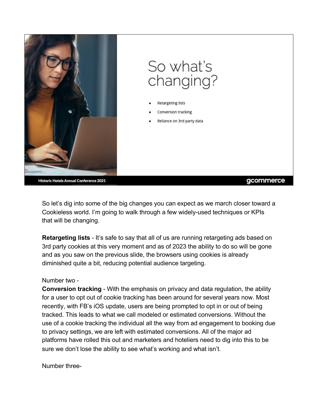

So let's dig into some of the big changes you can expect as we march closer toward a Cookieless world. I'm going to walk through a few widely-used techniques or KPIs that will be changing.

**Retargeting lists** - It's safe to say that all of us are running retargeting ads based on 3rd party cookies at this very moment and as of 2023 the ability to do so will be gone and as you saw on the previous slide, the browsers using cookies is already diminished quite a bit, reducing potential audience targeting.

### Number two -

**Conversion tracking** - With the emphasis on privacy and data regulation, the ability for a user to opt out of cookie tracking has been around for several years now. Most recently, with FB's iOS update, users are being prompted to opt in or out of being tracked. This leads to what we call modeled or estimated conversions. Without the use of a cookie tracking the individual all the way from ad engagement to booking due to privacy settings, we are left with estimated conversions. All of the major ad platforms have rolled this out and marketers and hoteliers need to dig into this to be sure we don't lose the ability to see what's working and what isn't.

Number three-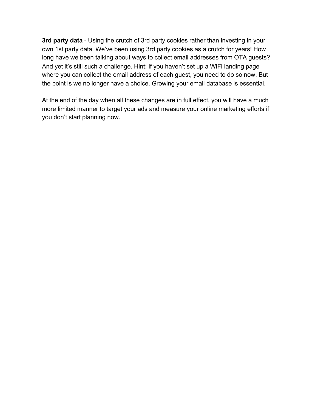**3rd party data** - Using the crutch of 3rd party cookies rather than investing in your own 1st party data. We've been using 3rd party cookies as a crutch for years! How long have we been talking about ways to collect email addresses from OTA guests? And yet it's still such a challenge. Hint: If you haven't set up a WiFi landing page where you can collect the email address of each guest, you need to do so now. But the point is we no longer have a choice. Growing your email database is essential.

At the end of the day when all these changes are in full effect, you will have a much more limited manner to target your ads and measure your online marketing efforts if you don't start planning now.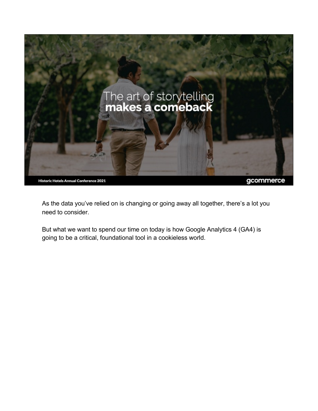

gcommerce

As the data you've relied on is changing or going away all together, there's a lot you need to consider.

But what we want to spend our time on today is how Google Analytics 4 (GA4) is going to be a critical, foundational tool in a cookieless world.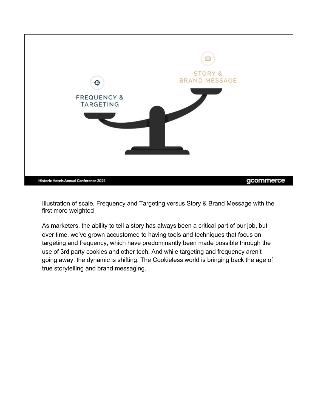

Illustration of scale, Frequency and Targeting versus Story & Brand Message with the first more weighted

As marketers, the ability to tell a story has always been a critical part of our job, but over time, we've grown accustomed to having tools and techniques that focus on targeting and frequency, which have predominantly been made possible through the use of 3rd party cookies and other tech. And while targeting and frequency aren't going away, the dynamic is shifting. The Cookieless world is bringing back the age of true storytelling and brand messaging.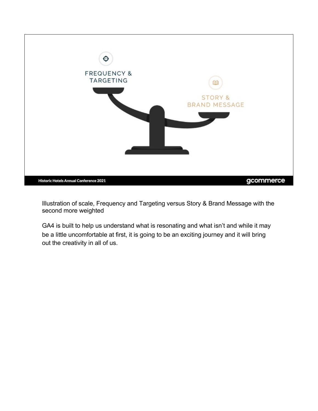

Illustration of scale, Frequency and Targeting versus Story & Brand Message with the second more weighted

GA4 is built to help us understand what is resonating and what isn't and while it may be a little uncomfortable at first, it is going to be an exciting journey and it will bring out the creativity in all of us.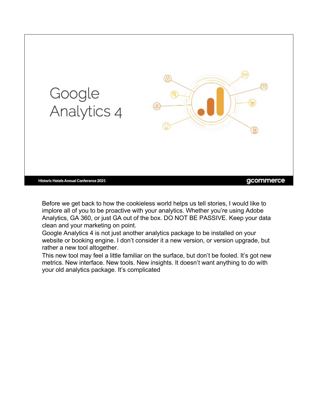

Before we get back to how the cookieless world helps us tell stories, I would like to implore all of you to be proactive with your analytics. Whether you're using Adobe Analytics, GA 360, or just GA out of the box. DO NOT BE PASSIVE. Keep your data clean and your marketing on point.

Google Analytics 4 is not just another analytics package to be installed on your website or booking engine. I don't consider it a new version, or version upgrade, but rather a new tool altogether.

This new tool may feel a little familiar on the surface, but don't be fooled. It's got new metrics. New interface. New tools. New insights. It doesn't want anything to do with your old analytics package. It's complicated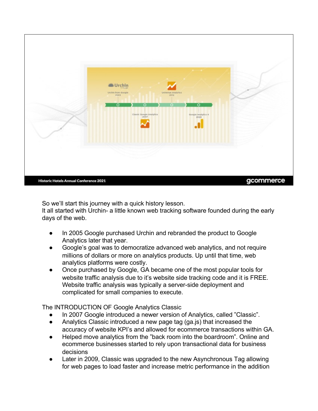

So we'll start this journey with a quick history lesson.

It all started with Urchin- a little known web tracking software founded during the early days of the web.

- In 2005 Google purchased Urchin and rebranded the product to Google Analytics later that year.
- Google's goal was to democratize advanced web analytics, and not require millions of dollars or more on analytics products. Up until that time, web analytics platforms were costly.
- Once purchased by Google, GA became one of the most popular tools for website traffic analysis due to it's website side tracking code and it is FREE. Website traffic analysis was typically a server-side deployment and complicated for small companies to execute.

The INTRODUCTION OF Google Analytics Classic

- In 2007 Google introduced a newer version of Analytics, called "Classic".
- Analytics Classic introduced a new page tag (ga.js) that increased the accuracy of website KPI's and allowed for ecommerce transactions within GA.
- Helped move analytics from the "back room into the boardroom". Online and ecommerce businesses started to rely upon transactional data for business decisions
- Later in 2009, Classic was upgraded to the new Asynchronous Tag allowing for web pages to load faster and increase metric performance in the addition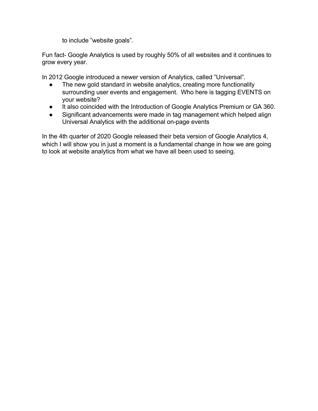to include "website goals".

Fun fact- Google Analytics is used by roughly 50% of all websites and it continues to grow every year.

In 2012 Google introduced a newer version of Analytics, called "Universal".

- The new gold standard in website analytics, creating more functionality surrounding user events and engagement. Who here is tagging EVENTS on your website?
- It also coincided with the Introduction of Google Analytics Premium or GA 360.
- Significant advancements were made in tag management which helped align Universal Analytics with the additional on-page events

In the 4th quarter of 2020 Google released their beta version of Google Analytics 4, which I will show you in just a moment is a fundamental change in how we are going to look at website analytics from what we have all been used to seeing.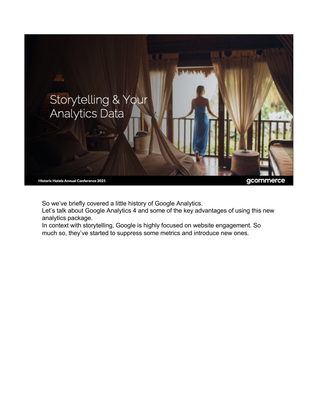

So we've briefly covered a little history of Google Analytics.

Let's talk about Google Analytics 4 and some of the key advantages of using this new analytics package.

In context with storytelling, Google is highly focused on website engagement. So much so, they've started to suppress some metrics and introduce new ones.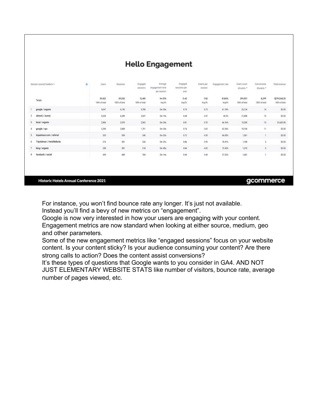| Session source/medium v          | ÷ | <b>Lisers</b>           | Sessions                | Engaged<br>sessions     | Average<br>engagement time<br>per session | Engaged<br>sessions per<br>450t | Events per<br>session | Engagement rate  | Event count<br>All gents *<br>n a bhean | Conversions<br>All conta *<br>and a series | Total revenue                 |
|----------------------------------|---|-------------------------|-------------------------|-------------------------|-------------------------------------------|---------------------------------|-----------------------|------------------|-----------------------------------------|--------------------------------------------|-------------------------------|
| Totals                           |   | 29,422<br>100% of total | 39,202<br>100% of total | 12,481<br>100% of total | 1m.07s<br>Avg B%                          | 0.42<br>Avg O'S                 | 7.42<br>Avg (N)       | 31.84%<br>Avg 0% | 291,001<br>100% of total                | 8,299<br>130% of total                     | \$219,068.25<br>100% of total |
| google / organic                 |   | 5,047                   | 6,195                   | 3,790                   | Om 33s                                    | 0.75                            | 3.73                  | 61.18%           | 23,134                                  | 14                                         | \$0.00                        |
| (direct) / (none)<br>$^{2}$      |   | 5,328                   | 6,289                   | 2,547                   | 0m 15s                                    | 0.48                            | 3.47                  | 40.5%            | 21,808                                  | 15                                         | \$0.00                        |
| local / organic<br>3             |   | 2,906                   | 3,570                   | 2,362                   | Om 24s                                    | 0.81                            | 3.70                  | 66.16%           | 13,200                                  | $15 -$                                     | \$1,620.00                    |
| google / cpc<br>4.               |   | 2,290                   | 2,808                   | 1,781                   | 0m 24s                                    | 0.76                            | 3.63                  | 62.36%           | 10,196                                  | $^{11}$                                    | \$0.00                        |
| tripadvisor.com / referral<br>5  |   | 335                     | 359                     | 248                     | 0m 20s                                    | 0.72                            | 4.35                  | 66.85%           | 1,561                                   |                                            | \$0.00                        |
| TripAdvisor / HotelWebsite<br>6. |   | 274                     | 301                     | 236                     | $0m$ 31s                                  | 0.86                            | 3.95                  | 78.41%           | 1,188                                   |                                            | \$0.00                        |
| bing / organic                   |   | 258                     | 331                     | 218                     | Om 45s                                    | 0.84                            | 4.02                  | 72.43%           | 1,210                                   | $\mathbf{I}$                               | \$0.00                        |
| facebook / social<br>8           |   | 459                     | 489                     | 184                     | 0m 14s                                    | 0.40                            | 3.44                  | 37.63%           | 1,681                                   |                                            | \$0.00                        |

**Hello Engagement** 

**Historic Hotels Annual Conference 2021** 

#### gcommerce

For instance, you won't find bounce rate any longer. It's just not available. Instead you'll find a bevy of new metrics on "engagement".

Google is now very interested in how your users are engaging with your content.

Engagement metrics are now standard when looking at either source, medium, geo and other parameters.

Some of the new engagement metrics like "engaged sessions" focus on your website content. Is your content sticky? Is your audience consuming your content? Are there strong calls to action? Does the content assist conversions?

It's these types of questions that Google wants to you consider in GA4. AND NOT JUST ELEMENTARY WEBSITE STATS like number of visitors, bounce rate, average number of pages viewed, etc.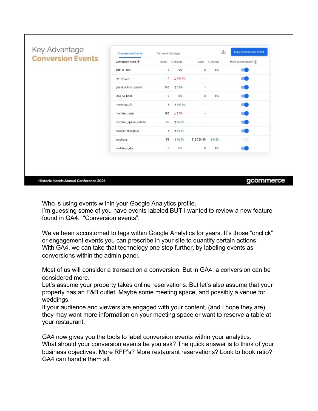| <b>Conversion Events</b> | Conversion name 个<br>add to cart | Count % change<br>0 | $0\%$           | o           | Value % change | Mark as conversion (?) |
|--------------------------|----------------------------------|---------------------|-----------------|-------------|----------------|------------------------|
|                          |                                  |                     |                 |             |                |                        |
|                          |                                  |                     |                 |             | $0\%$          |                        |
|                          | contact_us                       | o                   | <b>4 100.0%</b> | $\omega'$   |                |                        |
|                          | guestoptionsubmit                | 165                 | 15.8%           |             |                |                        |
|                          | look_to_book                     | O.                  | $0\%$           | $\Omega$    | $0\%$          |                        |
|                          | meetings_rfp                     | 8                   | +100.0%         | $\sim$      |                |                        |
|                          | member_login                     | 190                 | $+5.5%$         | $\sim$      |                |                        |
|                          | member_option_submit             | 25                  | +66.7%          |             |                |                        |
|                          | newsletter_signup                | 4                   | <b>133.3%</b>   |             |                |                        |
|                          | purchase                         | 58                  | 116.0%          | \$18,729.89 | 19.2%          |                        |
|                          | weddings_rfp                     | 0                   | 0%              | $\Omega$    | $0\%$          |                        |

Who is using events within your Google Analytics profile. I'm guessing some of you have events labeled BUT I wanted to review a new feature found in GA4 "Conversion events"

We've been accustomed to tags within Google Analytics for years. It's those "onclick" or engagement events you can prescribe in your site to quantify certain actions. With GA4, we can take that technology one step further, by labeling events as conversions within the admin panel.

Most of us will consider a transaction a conversion. But in GA4, a conversion can be considered more.

Let's assume your property takes online reservations. But let's also assume that your property has an F&B outlet. Maybe some meeting space, and possibly a venue for weddings.

If your audience and viewers are engaged with your content, (and I hope they are), they may want more information on your meeting space or want to reserve a table at your restaurant.

GA4 now gives you the tools to label conversion events within your analytics. What should your conversion events be you ask? The quick answer is to think of your business objectives. More RFP's? More restaurant reservations? Look to book ratio? GA4 can handle them all.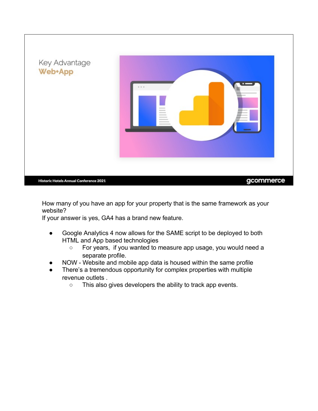

How many of you have an app for your property that is the same framework as your website?

If your answer is yes, GA4 has a brand new feature.

- Google Analytics 4 now allows for the SAME script to be deployed to both HTML and App based technologies
	- For years, if you wanted to measure app usage, you would need a separate profile.
- NOW Website and mobile app data is housed within the same profile
- There's a tremendous opportunity for complex properties with multiple revenue outlets .
	- This also gives developers the ability to track app events.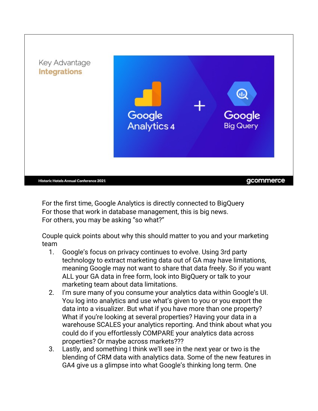

For the first time, Google Analytics is directly connected to BigQuery For those that work in database management, this is big news. For others, you may be asking "so what?"

Couple quick points about why this should matter to you and your marketing team

- 1. Google's focus on privacy continues to evolve. Using 3rd party technology to extract marketing data out of GA may have limitations, meaning Google may not want to share that data freely. So if you want ALL your GA data in free form, look into BigQuery or talk to your marketing team about data limitations.
- 2. I'm sure many of you consume your analytics data within Google's UI. You log into analytics and use what's given to you or you export the data into a visualizer. But what if you have more than one property? What if you're looking at several properties? Having your data in a warehouse SCALES your analytics reporting. And think about what you could do if you effortlessly COMPARE your analytics data across properties? Or maybe across markets???
- 3. Lastly, and something I think we'll see in the next year or two is the blending of CRM data with analytics data. Some of the new features in GA4 give us a glimpse into what Google's thinking long term. One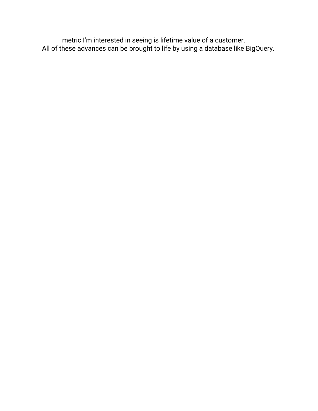metric I'm interested in seeing is lifetime value of a customer. All of these advances can be brought to life by using a database like BigQuery.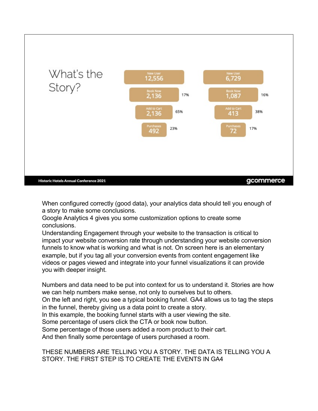

When configured correctly (good data), your analytics data should tell you enough of a story to make some conclusions.

Google Analytics 4 gives you some customization options to create some conclusions.

Understanding Engagement through your website to the transaction is critical to impact your website conversion rate through understanding your website conversion funnels to know what is working and what is not. On screen here is an elementary example, but if you tag all your conversion events from content engagement like videos or pages viewed and integrate into your funnel visualizations it can provide you with deeper insight.

Numbers and data need to be put into context for us to understand it. Stories are how we can help numbers make sense, not only to ourselves but to others. On the left and right, you see a typical booking funnel. GA4 allows us to tag the steps in the funnel, thereby giving us a data point to create a story. In this example, the booking funnel starts with a user viewing the site. Some percentage of users click the CTA or book now button. Some percentage of those users added a room product to their cart. And then finally some percentage of users purchased a room.

### THESE NUMBERS ARE TELLING YOU A STORY. THE DATA IS TELLING YOU A STORY. THE FIRST STEP IS TO CREATE THE EVENTS IN GA4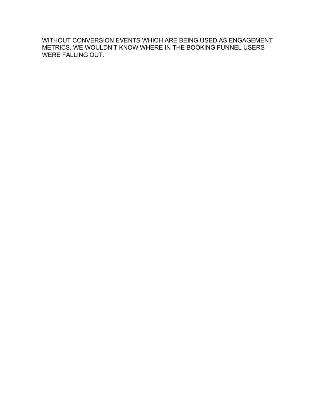WITHOUT CONVERSION EVENTS WHICH ARE BEING USED AS ENGAGEMENT METRICS, WE WOULDN'T KNOW WHERE IN THE BOOKING FUNNEL USERS WERE FALLING OUT.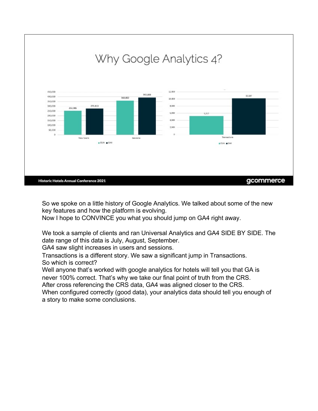

So we spoke on a little history of Google Analytics. We talked about some of the new key features and how the platform is evolving.

Now I hope to CONVINCE you what you should jump on GA4 right away.

We took a sample of clients and ran Universal Analytics and GA4 SIDE BY SIDE. The date range of this data is July, August, September.

GA4 saw slight increases in users and sessions.

Transactions is a different story. We saw a significant jump in Transactions. So which is correct?

Well anyone that's worked with google analytics for hotels will tell you that GA is never 100% correct. That's why we take our final point of truth from the CRS.

After cross referencing the CRS data, GA4 was aligned closer to the CRS.

When configured correctly (good data), your analytics data should tell you enough of a story to make some conclusions.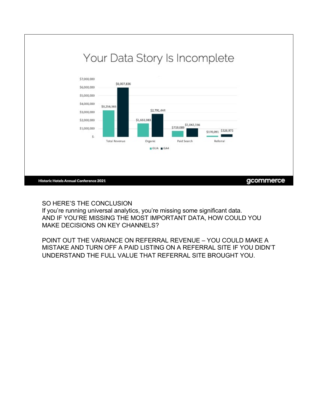

## SO HERE'S THE CONCLUSION

If you're running universal analytics, you're missing some significant data. AND IF YOU'RE MISSING THE MOST IMPORTANT DATA, HOW COULD YOU MAKE DECISIONS ON KEY CHANNELS?

POINT OUT THE VARIANCE ON REFERRAL REVENUE – YOU COULD MAKE A MISTAKE AND TURN OFF A PAID LISTING ON A REFERRAL SITE IF YOU DIDN'T UNDERSTAND THE FULL VALUE THAT REFERRAL SITE BROUGHT YOU.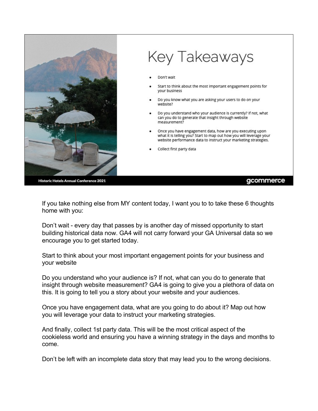

# Key Takeaways

Don't wait

- Start to think about the most important engagement points for your business
- Do you know what you are asking your users to do on your website?
- Do you understand who your audience is currently? If not, what can you do to generate that insight through website measurement?
- Once you have engagement data, how are you executing upon what it is telling you? Start to map out how you will leverage your website performance data to instruct your marketing strategies.
- Collect first party data

Historic Hotels Annual Conference 2021

#### gcommerce

If you take nothing else from MY content today, I want you to to take these 6 thoughts home with you:

Don't wait - every day that passes by is another day of missed opportunity to start building historical data now. GA4 will not carry forward your GA Universal data so we encourage you to get started today.

Start to think about your most important engagement points for your business and your website

Do you understand who your audience is? If not, what can you do to generate that insight through website measurement? GA4 is going to give you a plethora of data on this. It is going to tell you a story about your website and your audiences.

Once you have engagement data, what are you going to do about it? Map out how you will leverage your data to instruct your marketing strategies.

And finally, collect 1st party data. This will be the most critical aspect of the cookieless world and ensuring you have a winning strategy in the days and months to come.

Don't be left with an incomplete data story that may lead you to the wrong decisions.